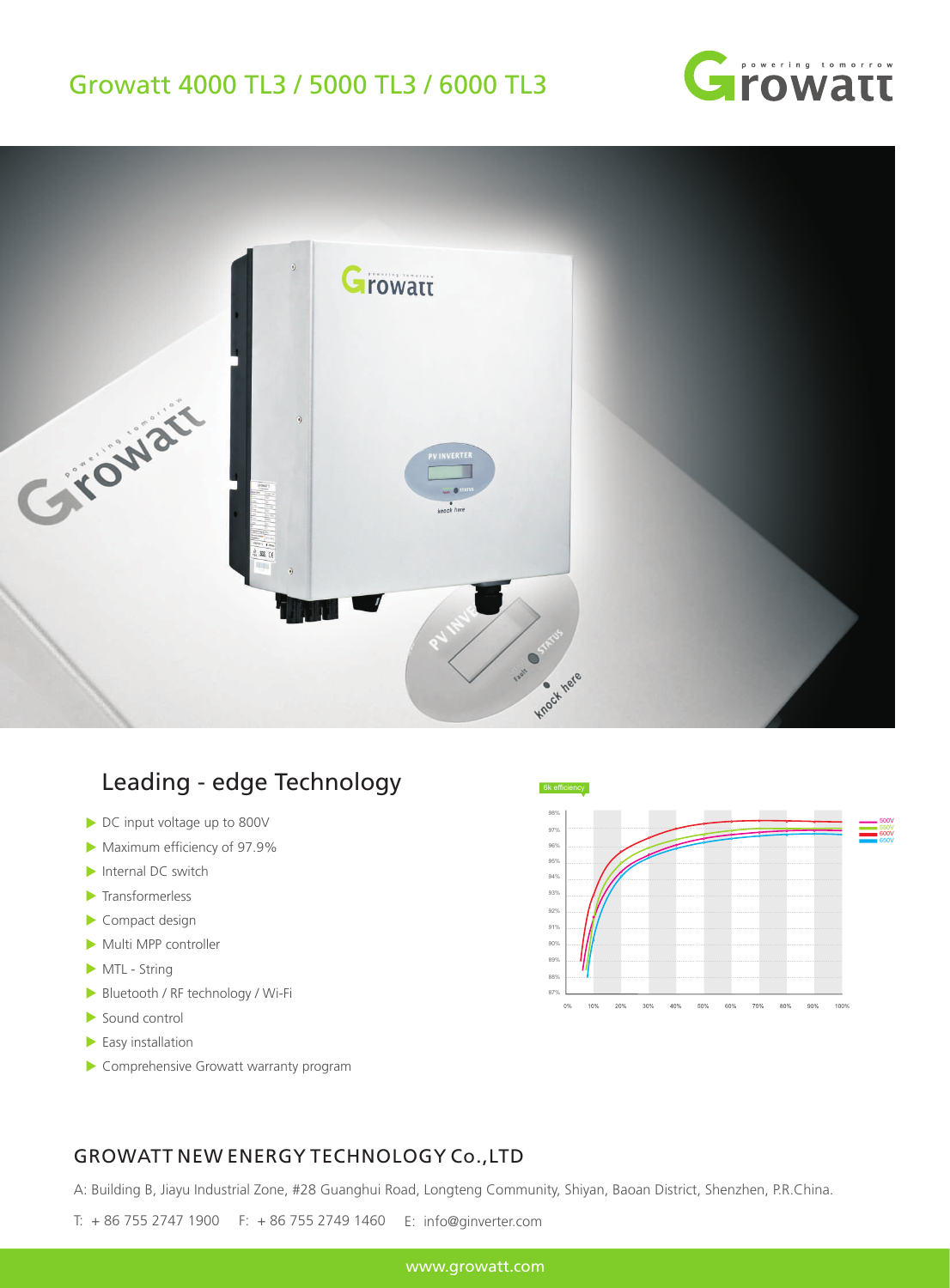## Growatt 4000 TL3 / 5000 TL3 / 6000 TL3





## Leading - edge Technology

- ▶ DC input voltage up to 800V
- Maximum efficiency of 97.9%
- Internal DC switch
- **Transformerless**
- Compact design
- Multi MPP controller
- MTL String
- Bluetooth / RF technology / Wi-Fi
- Sound control
- $\blacktriangleright$  Easy installation
- Comprehensive Growatt warranty program



## GROWATT NEW ENERGY TECHNOLOGY Co.,LTD

A: Building B, Jiayu Industrial Zone, #28 Guanghui Road, Longteng Community, Shiyan, Baoan District, Shenzhen, P.R.China.

T: + 86 755 2747 1900 F: + 86 755 2749 1460 E: info@ginverter.com